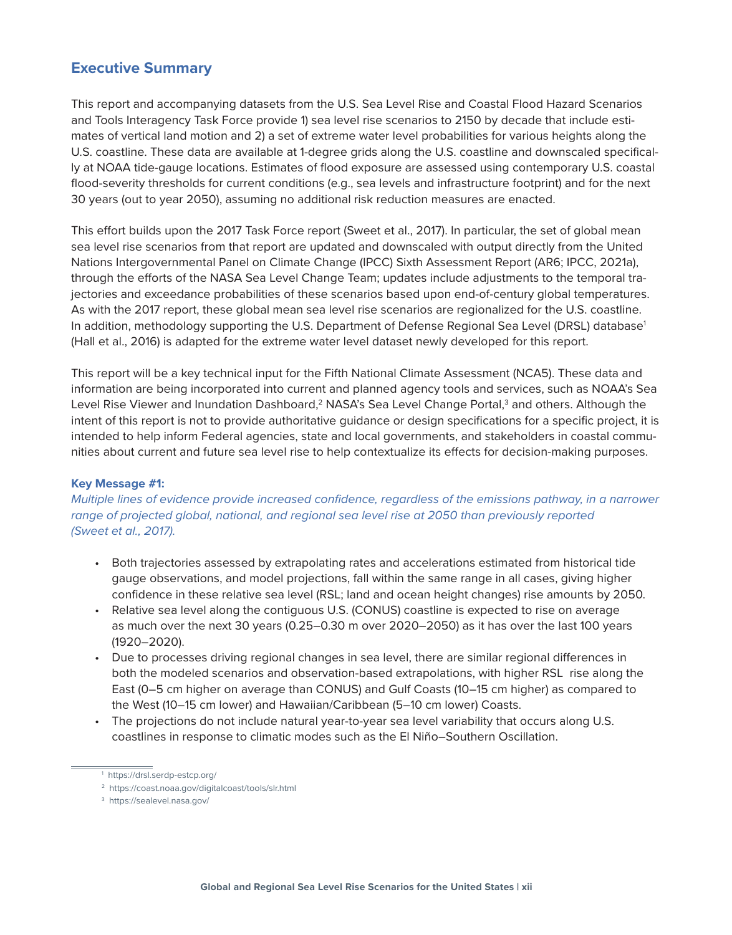# **Executive Summary**

This report and accompanying datasets from the U.S. Sea Level Rise and Coastal Flood Hazard Scenarios and Tools Interagency Task Force provide 1) sea level rise scenarios to 2150 by decade that include estimates of vertical land motion and 2) a set of extreme water level probabilities for various heights along the U.S. coastline. These data are available at 1-degree grids along the U.S. coastline and downscaled specifically at NOAA tide-gauge locations. Estimates of flood exposure are assessed using contemporary U.S. coastal flood-severity thresholds for current conditions (e.g., sea levels and infrastructure footprint) and for the next 30 years (out to year 2050), assuming no additional risk reduction measures are enacted.

This effort builds upon the 2017 Task Force report (Sweet et al., 2017). In particular, the set of global mean sea level rise scenarios from that report are updated and downscaled with output directly from the United Nations Intergovernmental Panel on Climate Change (IPCC) Sixth Assessment Report (AR6; IPCC, 2021a), through the efforts of the NASA Sea Level Change Team; updates include adjustments to the temporal trajectories and exceedance probabilities of these scenarios based upon end-of-century global temperatures. As with the 2017 report, these global mean sea level rise scenarios are regionalized for the U.S. coastline. In addition, methodology supporting the U.S. Department of Defense Regional Sea Level (DRSL) database<sup>1</sup> (Hall et al., 2016) is adapted for the extreme water level dataset newly developed for this report.

This report will be a key technical input for the Fifth National Climate Assessment (NCA5). These data and information are being incorporated into current and planned agency tools and services, such as NOAA's Sea Level Rise Viewer and Inundation Dashboard,<sup>2</sup> NASA's Sea Level Change Portal,<sup>3</sup> and others. Although the intent of this report is not to provide authoritative guidance or design specifications for a specific project, it is intended to help inform Federal agencies, state and local governments, and stakeholders in coastal communities about current and future sea level rise to help contextualize its effects for decision-making purposes.

### **Key Message #1:**

*Multiple lines of evidence provide increased confidence, regardless of the emissions pathway, in a narrower*  range of projected global, national, and regional sea level rise at 2050 than previously reported *(Sweet et al., 2017).*

- Both trajectories assessed by extrapolating rates and accelerations estimated from historical tide gauge observations, and model projections, fall within the same range in all cases, giving higher confidence in these relative sea level (RSL; land and ocean height changes) rise amounts by 2050.
- Relative sea level along the contiguous U.S. (CONUS) coastline is expected to rise on average as much over the next 30 years (0.25–0.30 m over 2020–2050) as it has over the last 100 years (1920–2020).
- Due to processes driving regional changes in sea level, there are similar regional differences in both the modeled scenarios and observation-based extrapolations, with higher RSL rise along the East (0–5 cm higher on average than CONUS) and Gulf Coasts (10–15 cm higher) as compared to the West (10–15 cm lower) and Hawaiian/Caribbean (5–10 cm lower) Coasts.
- The projections do not include natural year-to-year sea level variability that occurs along U.S. coastlines in response to climatic modes such as the El Niño–Southern Oscillation.

<sup>1</sup> <https://drsl.serdp-estcp.org/>

<sup>2</sup> <https://coast.noaa.gov/digitalcoast/tools/slr.html>

<sup>3</sup> <https://sealevel.nasa.gov/>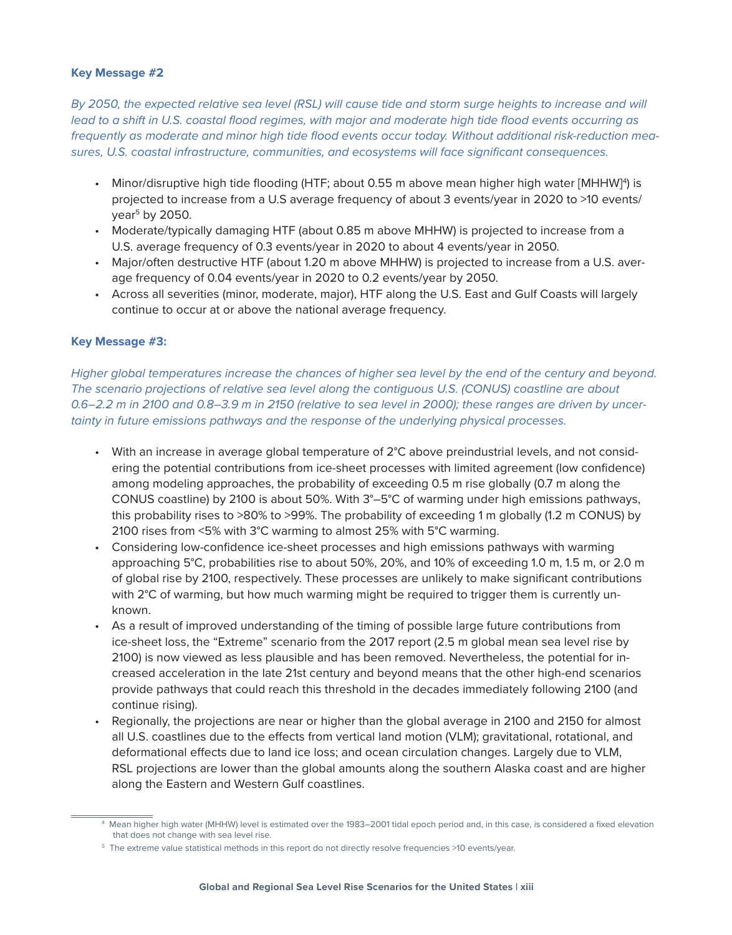## **Key Message #2**

*By 2050, the expected relative sea level (RSL) will cause tide and storm surge heights to increase and will lead to a shift in U.S. coastal flood regimes, with major and moderate high tide flood events occurring as frequently as moderate and minor high tide flood events occur today. Without additional risk-reduction measures, U.S. coastal infrastructure, communities, and ecosystems will face significant consequences.*

- Minor/disruptive high tide flooding (HTF; about 0.55 m above mean higher high water [MHHW]<sup>4</sup>) is projected to increase from a U.S average frequency of about 3 events/year in 2020 to >10 events/ year $5$  by 2050.
- Moderate/typically damaging HTF (about 0.85 m above MHHW) is projected to increase from a U.S. average frequency of 0.3 events/year in 2020 to about 4 events/year in 2050.
- Major/often destructive HTF (about 1.20 m above MHHW) is projected to increase from a U.S. average frequency of 0.04 events/year in 2020 to 0.2 events/year by 2050.
- Across all severities (minor, moderate, major), HTF along the U.S. East and Gulf Coasts will largely continue to occur at or above the national average frequency.

## **Key Message #3:**

*Higher global temperatures increase the chances of higher sea level by the end of the century and beyond. The scenario projections of relative sea level along the contiguous U.S. (CONUS) coastline are about 0.6–2.2 m in 2100 and 0.8–3.9 m in 2150 (relative to sea level in 2000); these ranges are driven by uncertainty in future emissions pathways and the response of the underlying physical processes.* 

- With an increase in average global temperature of  $2^{\circ}C$  above preindustrial levels, and not considering the potential contributions from ice-sheet processes with limited agreement (low confidence) among modeling approaches, the probability of exceeding 0.5 m rise globally (0.7 m along the CONUS coastline) by 2100 is about 50%. With 3°–5°C of warming under high emissions pathways, this probability rises to >80% to >99%. The probability of exceeding 1 m globally (1.2 m CONUS) by 2100 rises from <5% with 3°C warming to almost 25% with 5°C warming.
- Considering low-confidence ice-sheet processes and high emissions pathways with warming approaching 5°C, probabilities rise to about 50%, 20%, and 10% of exceeding 1.0 m, 1.5 m, or 2.0 m of global rise by 2100, respectively. These processes are unlikely to make significant contributions with 2°C of warming, but how much warming might be required to trigger them is currently unknown.
- As a result of improved understanding of the timing of possible large future contributions from ice-sheet loss, the "Extreme" scenario from the 2017 report (2.5 m global mean sea level rise by 2100) is now viewed as less plausible and has been removed. Nevertheless, the potential for increased acceleration in the late 21st century and beyond means that the other high-end scenarios provide pathways that could reach this threshold in the decades immediately following 2100 (and continue rising).
- Regionally, the projections are near or higher than the global average in 2100 and 2150 for almost all U.S. coastlines due to the effects from vertical land motion (VLM); gravitational, rotational, and deformational effects due to land ice loss; and ocean circulation changes. Largely due to VLM, RSL projections are lower than the global amounts along the southern Alaska coast and are higher along the Eastern and Western Gulf coastlines.

<sup>4</sup> Mean higher high water (MHHW) level is estimated over the 1983–2001 tidal epoch period and, in this case, is considered a fixed elevation that does not change with sea level rise.

<sup>&</sup>lt;sup>5</sup> The extreme value statistical methods in this report do not directly resolve frequencies >10 events/year.